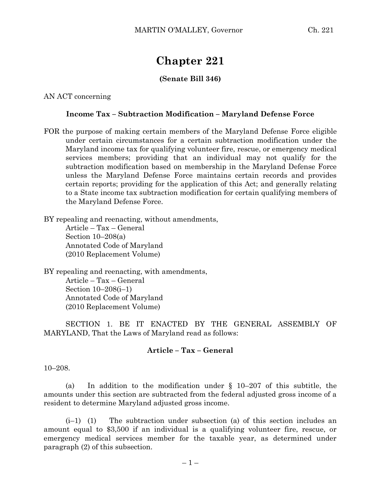# **Chapter 221**

## **(Senate Bill 346)**

AN ACT concerning

#### **Income Tax – Subtraction Modification – Maryland Defense Force**

FOR the purpose of making certain members of the Maryland Defense Force eligible under certain circumstances for a certain subtraction modification under the Maryland income tax for qualifying volunteer fire, rescue, or emergency medical services members; providing that an individual may not qualify for the subtraction modification based on membership in the Maryland Defense Force unless the Maryland Defense Force maintains certain records and provides certain reports; providing for the application of this Act; and generally relating to a State income tax subtraction modification for certain qualifying members of the Maryland Defense Force.

BY repealing and reenacting, without amendments,

Article – Tax – General Section  $10-208(a)$ Annotated Code of Maryland (2010 Replacement Volume)

BY repealing and reenacting, with amendments, Article – Tax – General Section 10–208(i–1) Annotated Code of Maryland (2010 Replacement Volume)

SECTION 1. BE IT ENACTED BY THE GENERAL ASSEMBLY OF MARYLAND, That the Laws of Maryland read as follows:

#### **Article – Tax – General**

#### 10–208.

(a) In addition to the modification under § 10–207 of this subtitle, the amounts under this section are subtracted from the federal adjusted gross income of a resident to determine Maryland adjusted gross income.

 $(i-1)$  (1) The subtraction under subsection (a) of this section includes an amount equal to \$3,500 if an individual is a qualifying volunteer fire, rescue, or emergency medical services member for the taxable year, as determined under paragraph (2) of this subsection.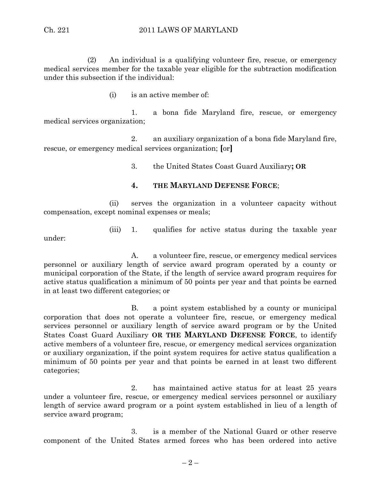(2) An individual is a qualifying volunteer fire, rescue, or emergency medical services member for the taxable year eligible for the subtraction modification under this subsection if the individual:

(i) is an active member of:

1. a bona fide Maryland fire, rescue, or emergency medical services organization;

2. an auxiliary organization of a bona fide Maryland fire, rescue, or emergency medical services organization; **[**or**]**

3. the United States Coast Guard Auxiliary**; OR**

### **4. THE MARYLAND DEFENSE FORCE**;

(ii) serves the organization in a volunteer capacity without compensation, except nominal expenses or meals;

(iii) 1. qualifies for active status during the taxable year

under:

A. a volunteer fire, rescue, or emergency medical services personnel or auxiliary length of service award program operated by a county or municipal corporation of the State, if the length of service award program requires for active status qualification a minimum of 50 points per year and that points be earned in at least two different categories; or

B. a point system established by a county or municipal corporation that does not operate a volunteer fire, rescue, or emergency medical services personnel or auxiliary length of service award program or by the United States Coast Guard Auxiliary **OR THE MARYLAND DEFENSE FORCE**, to identify active members of a volunteer fire, rescue, or emergency medical services organization or auxiliary organization, if the point system requires for active status qualification a minimum of 50 points per year and that points be earned in at least two different categories;

2. has maintained active status for at least 25 years under a volunteer fire, rescue, or emergency medical services personnel or auxiliary length of service award program or a point system established in lieu of a length of service award program;

3. is a member of the National Guard or other reserve component of the United States armed forces who has been ordered into active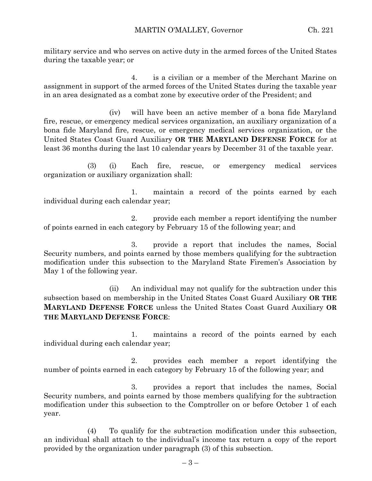military service and who serves on active duty in the armed forces of the United States during the taxable year; or

4. is a civilian or a member of the Merchant Marine on assignment in support of the armed forces of the United States during the taxable year in an area designated as a combat zone by executive order of the President; and

(iv) will have been an active member of a bona fide Maryland fire, rescue, or emergency medical services organization, an auxiliary organization of a bona fide Maryland fire, rescue, or emergency medical services organization, or the United States Coast Guard Auxiliary **OR THE MARYLAND DEFENSE FORCE** for at least 36 months during the last 10 calendar years by December 31 of the taxable year.

(3) (i) Each fire, rescue, or emergency medical services organization or auxiliary organization shall:

1. maintain a record of the points earned by each individual during each calendar year;

2. provide each member a report identifying the number of points earned in each category by February 15 of the following year; and

3. provide a report that includes the names, Social Security numbers, and points earned by those members qualifying for the subtraction modification under this subsection to the Maryland State Firemen's Association by May 1 of the following year.

(ii) An individual may not qualify for the subtraction under this subsection based on membership in the United States Coast Guard Auxiliary **OR THE MARYLAND DEFENSE FORCE** unless the United States Coast Guard Auxiliary **OR THE MARYLAND DEFENSE FORCE**:

1. maintains a record of the points earned by each individual during each calendar year;

2. provides each member a report identifying the number of points earned in each category by February 15 of the following year; and

3. provides a report that includes the names, Social Security numbers, and points earned by those members qualifying for the subtraction modification under this subsection to the Comptroller on or before October 1 of each year.

(4) To qualify for the subtraction modification under this subsection, an individual shall attach to the individual's income tax return a copy of the report provided by the organization under paragraph (3) of this subsection.